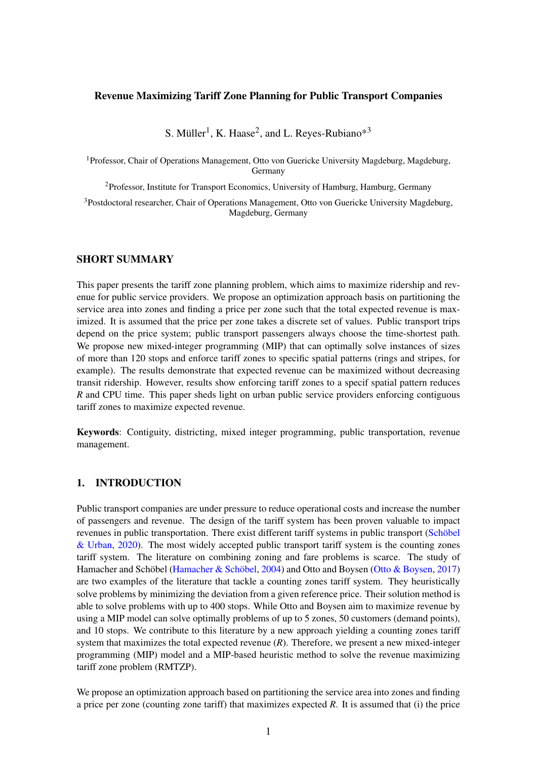### Revenue Maximizing Tariff Zone Planning for Public Transport Companies

S. Müller<sup>1</sup>, K. Haase<sup>2</sup>, and L. Reyes-Rubiano\*<sup>3</sup>

<sup>1</sup>Professor, Chair of Operations Management, Otto von Guericke University Magdeburg, Magdeburg, Germany

<sup>2</sup>Professor, Institute for Transport Economics, University of Hamburg, Hamburg, Germany

<sup>3</sup>Postdoctoral researcher, Chair of Operations Management, Otto von Guericke University Magdeburg, Magdeburg, Germany

### SHORT SUMMARY

This paper presents the tariff zone planning problem, which aims to maximize ridership and revenue for public service providers. We propose an optimization approach basis on partitioning the service area into zones and finding a price per zone such that the total expected revenue is maximized. It is assumed that the price per zone takes a discrete set of values. Public transport trips depend on the price system; public transport passengers always choose the time-shortest path. We propose new mixed-integer programming (MIP) that can optimally solve instances of sizes of more than 120 stops and enforce tariff zones to specific spatial patterns (rings and stripes, for example). The results demonstrate that expected revenue can be maximized without decreasing transit ridership. However, results show enforcing tariff zones to a specif spatial pattern reduces *R* and CPU time. This paper sheds light on urban public service providers enforcing contiguous tariff zones to maximize expected revenue.

Keywords: Contiguity, districting, mixed integer programming, public transportation, revenue management.

# 1. INTRODUCTION

Public transport companies are under pressure to reduce operational costs and increase the number of passengers and revenue. The design of the tariff system has been proven valuable to impact revenues in public transportation. There exist different tariff systems in public transport [\(Schöbel](#page-4-0) [& Urban,](#page-4-0) [2020\)](#page-4-0). The most widely accepted public transport tariff system is the counting zones tariff system. The literature on combining zoning and fare problems is scarce. The study of Hamacher and Schöbel [\(Hamacher & Schöbel,](#page-4-1) [2004\)](#page-4-1) and Otto and Boysen [\(Otto & Boysen,](#page-4-2) [2017\)](#page-4-2) are two examples of the literature that tackle a counting zones tariff system. They heuristically solve problems by minimizing the deviation from a given reference price. Their solution method is able to solve problems with up to 400 stops. While Otto and Boysen aim to maximize revenue by using a MIP model can solve optimally problems of up to 5 zones, 50 customers (demand points), and 10 stops. We contribute to this literature by a new approach yielding a counting zones tariff system that maximizes the total expected revenue (*R*). Therefore, we present a new mixed-integer programming (MIP) model and a MIP-based heuristic method to solve the revenue maximizing tariff zone problem (RMTZP).

We propose an optimization approach based on partitioning the service area into zones and finding a price per zone (counting zone tariff) that maximizes expected *R*. It is assumed that (i) the price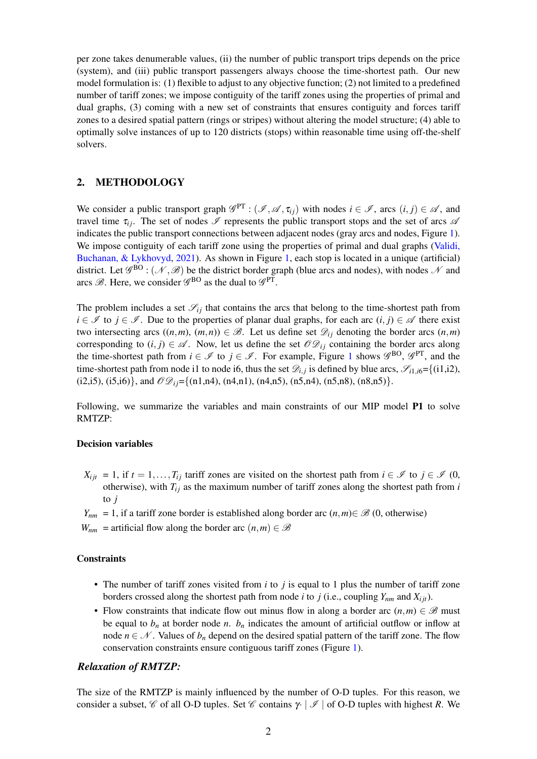per zone takes denumerable values, (ii) the number of public transport trips depends on the price (system), and (iii) public transport passengers always choose the time-shortest path. Our new model formulation is: (1) flexible to adjust to any objective function; (2) not limited to a predefined number of tariff zones; we impose contiguity of the tariff zones using the properties of primal and dual graphs, (3) coming with a new set of constraints that ensures contiguity and forces tariff zones to a desired spatial pattern (rings or stripes) without altering the model structure; (4) able to optimally solve instances of up to 120 districts (stops) within reasonable time using off-the-shelf solvers.

### 2. METHODOLOGY

We consider a public transport graph  $\mathscr{G}^{PT}$  :  $(\mathscr{I}, \mathscr{A}, \tau_{ij})$  with nodes  $i \in \mathscr{I}$ , arcs  $(i, j) \in \mathscr{A}$ , and travel time  $\tau_{ij}$ . The set of nodes  $\mathscr I$  represents the public transport stops and the set of arcs  $\mathscr A$ indicates the public transport connections between adjacent nodes (gray arcs and nodes, Figure [1\)](#page-2-0). We impose contiguity of each tariff zone using the properties of primal and dual graphs [\(Validi,](#page-4-3) [Buchanan, & Lykhovyd,](#page-4-3) [2021\)](#page-4-3). As shown in Figure [1,](#page-2-0) each stop is located in a unique (artificial) district. Let  $\mathscr{G}^{BO}$  :  $(\mathscr{N}, \mathscr{B})$  be the district border graph (blue arcs and nodes), with nodes  $\mathscr{N}$  and arcs  $\mathscr{B}$ . Here, we consider  $\mathscr{G}^{BO}$  as the dual to  $\mathscr{G}^{PT}$ .

The problem includes a set  $\mathcal{S}_{ij}$  that contains the arcs that belong to the time-shortest path from *i* ∈  $\mathcal{I}$  to *j* ∈  $\mathcal{I}$ . Due to the properties of planar dual graphs, for each arc  $(i, j) \in \mathcal{A}$  there exist two intersecting arcs  $((n,m), (m,n)) \in \mathcal{B}$ . Let us define set  $\mathcal{D}_{ij}$  denoting the border arcs  $(n,m)$ corresponding to  $(i, j) \in \mathcal{A}$ . Now, let us define the set  $\mathcal{O}\mathcal{D}_{ij}$  containing the border arcs along the time-shortest path from  $i \in \mathcal{I}$  to  $j \in \mathcal{I}$ . For example, Figure [1](#page-2-0) shows  $\mathcal{G}^{BO}$ ,  $\mathcal{G}^{PT}$ , and the time-shortest path from node i1 to node i6, thus the set  $\mathcal{D}_{i,j}$  is defined by blue arcs,  $\mathcal{S}_{i1,i6} = \{(i1,i2),$ (i2,i5), (i5,i6)}, and  $\mathcal{OQ}_{ij}$ ={(n1,n4), (n4,n1), (n4,n5), (n5,n4), (n5,n8), (n8,n5)}.

Following, we summarize the variables and main constraints of our MIP model P1 to solve RMTZP:

#### Decision variables

 $X_{ijt} = 1$ , if  $t = 1, \ldots, T_{ij}$  tariff zones are visited on the shortest path from  $i \in \mathcal{I}$  to  $j \in \mathcal{I}$  (0, otherwise), with  $T_i$  as the maximum number of tariff zones along the shortest path from  $i$ to *j*

*Y*<sub>nm</sub> = 1, if a tariff zone border is established along border arc  $(n,m) \in \mathcal{B}(0,$  otherwise)

*W<sub>nm</sub>* = artificial flow along the border arc  $(n,m) \in \mathcal{B}$ 

#### **Constraints**

- The number of tariff zones visited from *i* to *j* is equal to 1 plus the number of tariff zone borders crossed along the shortest path from node *i* to *j* (i.e., coupling  $Y_{nm}$  and  $X_{i}$ *i*,).
- Flow constraints that indicate flow out minus flow in along a border arc  $(n,m) \in \mathcal{B}$  must be equal to  $b_n$  at border node *n*.  $b_n$  indicates the amount of artificial outflow or inflow at node  $n \in \mathcal{N}$ . Values of  $b_n$  depend on the desired spatial pattern of the tariff zone. The flow conservation constraints ensure contiguous tariff zones (Figure [1\)](#page-2-0).

### *Relaxation of RMTZP:*

The size of the RMTZP is mainly influenced by the number of O-D tuples. For this reason, we consider a subset, C of all O-D tuples. Set C contains  $\gamma \mid \mathcal{I} \mid$  of O-D tuples with highest R. We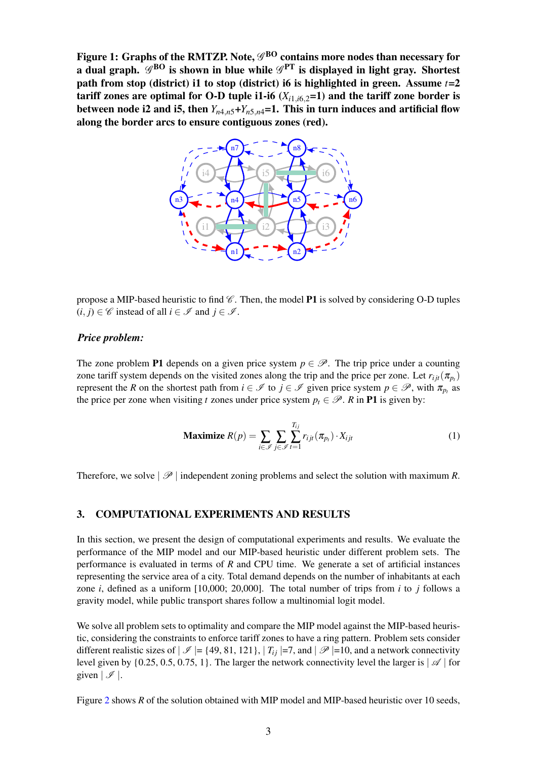<span id="page-2-0"></span>Figure 1: Graphs of the RMTZP. Note,  $\mathscr{G}^{\rm BO}$  contains more nodes than necessary for a dual graph.  $\mathscr{G}^{\rm BO}$  is shown in blue while  $\mathscr{G}^{\rm PT}$  is displayed in light gray. Shortest path from stop (district) i1 to stop (district) i6 is highlighted in green. Assume *t*=2 tariff zones are optimal for O-D tuple i1-i6  $(X_{i1,i6,2}=1)$  and the tariff zone border is between node i2 and i5, then  $Y_{n4,n5}+Y_{n5,n4}=1$ . This in turn induces and artificial flow along the border arcs to ensure contiguous zones (red).



propose a MIP-based heuristic to find  $\mathscr C$ . Then, the model **P1** is solved by considering O-D tuples  $(i, j) \in \mathscr{C}$  instead of all  $i \in \mathscr{I}$  and  $j \in \mathscr{I}$ .

#### *Price problem:*

The zone problem P1 depends on a given price system  $p \in \mathcal{P}$ . The trip price under a counting zone tariff system depends on the visited zones along the trip and the price per zone. Let  $r_{ijt}(\pi_{p_t})$ represent the *R* on the shortest path from  $i \in \mathcal{I}$  to  $j \in \mathcal{I}$  given price system  $p \in \mathcal{P}$ , with  $\pi_{p_i}$  as the price per zone when visiting *t* zones under price system  $p_t \in \mathcal{P}$ . *R* in **P1** is given by:

$$
\textbf{Maximize } R(p) = \sum_{i \in \mathcal{I}} \sum_{j \in \mathcal{J}} \sum_{t=1}^{T_{ij}} r_{ijt}(\pi_{p_t}) \cdot X_{ijt} \tag{1}
$$

Therefore, we solve  $|\mathscr{P}|$  independent zoning problems and select the solution with maximum *R*.

### 3. COMPUTATIONAL EXPERIMENTS AND RESULTS

In this section, we present the design of computational experiments and results. We evaluate the performance of the MIP model and our MIP-based heuristic under different problem sets. The performance is evaluated in terms of *R* and CPU time. We generate a set of artificial instances representing the service area of a city. Total demand depends on the number of inhabitants at each zone *i*, defined as a uniform [10,000; 20,000]. The total number of trips from *i* to *j* follows a gravity model, while public transport shares follow a multinomial logit model.

We solve all problem sets to optimality and compare the MIP model against the MIP-based heuristic, considering the constraints to enforce tariff zones to have a ring pattern. Problem sets consider different realistic sizes of  $|\mathcal{I}| = \{49, 81, 121\}, |T_{ij}| = 7$ , and  $|\mathcal{P}| = 10$ , and a network connectivity level given by  $\{0.25, 0.5, 0.75, 1\}$ . The larger the network connectivity level the larger is  $\mathcal{A}$  for given  $|\mathscr{I}|$ .

Figure [2](#page-3-0) shows *R* of the solution obtained with MIP model and MIP-based heuristic over 10 seeds,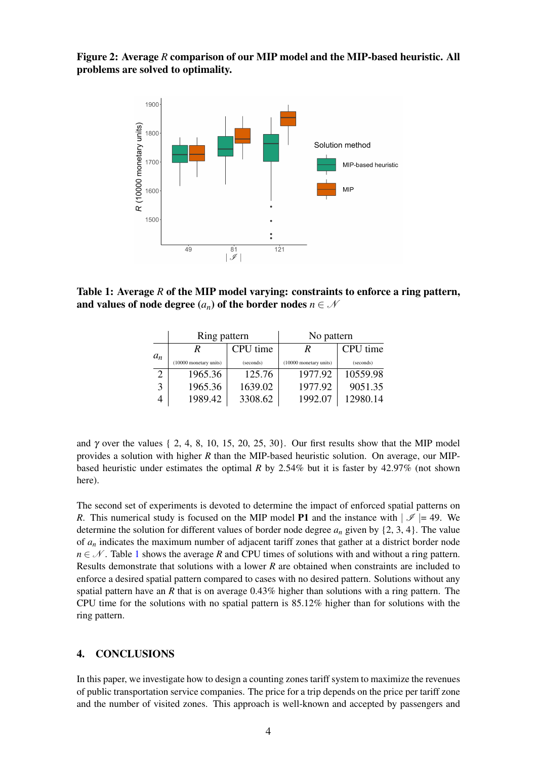<span id="page-3-0"></span>Figure 2: Average *R* comparison of our MIP model and the MIP-based heuristic. All problems are solved to optimality.



<span id="page-3-1"></span>Table 1: Average *R* of the MIP model varying: constraints to enforce a ring pattern, and values of node degree  $(a_n)$  of the border nodes  $n \in \mathcal{N}$ 

|                | Ring pattern           |           | No pattern             |           |
|----------------|------------------------|-----------|------------------------|-----------|
|                | R                      | CPU time  | R                      | CPU time  |
| $a_n$          | (10000 monetary units) | (seconds) | (10000 monetary units) | (seconds) |
| $\overline{c}$ | 1965.36                | 125.76    | 1977.92                | 10559.98  |
| 3              | 1965.36                | 1639.02   | 1977.92                | 9051.35   |
|                | 1989.42                | 3308.62   | 1992.07                | 12980.14  |

and  $\gamma$  over the values { 2, 4, 8, 10, 15, 20, 25, 30}. Our first results show that the MIP model provides a solution with higher *R* than the MIP-based heuristic solution. On average, our MIPbased heuristic under estimates the optimal *R* by 2.54% but it is faster by 42.97% (not shown here).

The second set of experiments is devoted to determine the impact of enforced spatial patterns on *R*. This numerical study is focused on the MIP model **P1** and the instance with  $|\mathcal{I}| = 49$ . We determine the solution for different values of border node degree  $a_n$  given by  $\{2, 3, 4\}$ . The value of *a<sup>n</sup>* indicates the maximum number of adjacent tariff zones that gather at a district border node  $n \in \mathcal{N}$ . Table [1](#page-3-1) shows the average *R* and CPU times of solutions with and without a ring pattern. Results demonstrate that solutions with a lower *R* are obtained when constraints are included to enforce a desired spatial pattern compared to cases with no desired pattern. Solutions without any spatial pattern have an *R* that is on average 0.43% higher than solutions with a ring pattern. The CPU time for the solutions with no spatial pattern is 85.12% higher than for solutions with the ring pattern.

## 4. CONCLUSIONS

In this paper, we investigate how to design a counting zones tariff system to maximize the revenues of public transportation service companies. The price for a trip depends on the price per tariff zone and the number of visited zones. This approach is well-known and accepted by passengers and